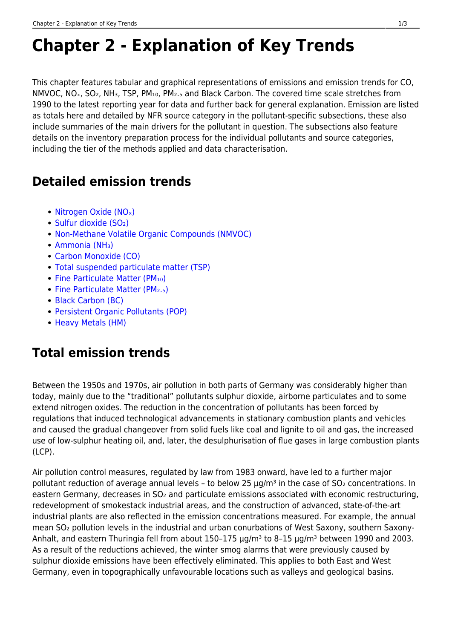# **Chapter 2 - Explanation of Key Trends**

This chapter features tabular and graphical representations of emissions and emission trends for CO, NMVOC, NO<sub>x</sub>, SO<sub>2</sub>, NH<sub>3</sub>, TSP, PM<sub>10</sub>, PM<sub>2</sub>.<sub>5</sub> and Black Carbon. The covered time scale stretches from 1990 to the latest reporting year for data and further back for general explanation. Emission are listed as totals here and detailed by NFR source category in the pollutant-specific subsections, these also include summaries of the main drivers for the pollutant in question. The subsections also feature details on the inventory preparation process for the individual pollutants and source categories, including the tier of the methods applied and data characterisation.

### **Detailed emission trends**

- Nitrogen Oxide (NO<sub>x</sub>)
- Sulfur dioxide (SO2)
- [Non-Methane Volatile Organic Compounds \(NMVOC\)](https://iir.umweltbundesamt.de/2021/general/trends/emission_trends_non_methane_volatile_organic_compounds)
- Ammonia (NH<sub>3</sub>)
- [Carbon Monoxide \(CO\)](https://iir.umweltbundesamt.de/2021/general/trends/emission_trends_carbon_monoxide)
- [Total suspended particulate matter \(TSP\)](https://iir.umweltbundesamt.de/2021/general/trends/emission_trends_total_suspended_particulate_matter)
- Fine Particulate Matter (PM10)
- Fine Particulate Matter (PM2.5)
- [Black Carbon \(BC\)](https://iir.umweltbundesamt.de/2021/general/trends/emission_trends_bc)
- [Persistent Organic Pollutants \(POP\)](https://iir.umweltbundesamt.de/2021/general/trends/emission_trends_persistent_organic_pollutants)
- [Heavy Metals \(HM\)](https://iir.umweltbundesamt.de/2021/general/trends/emission_trends_heavy_metals)

## **Total emission trends**

Between the 1950s and 1970s, air pollution in both parts of Germany was considerably higher than today, mainly due to the "traditional" pollutants sulphur dioxide, airborne particulates and to some extend nitrogen oxides. The reduction in the concentration of pollutants has been forced by regulations that induced technological advancements in stationary combustion plants and vehicles and caused the gradual changeover from solid fuels like coal and lignite to oil and gas, the increased use of low-sulphur heating oil, and, later, the desulphurisation of flue gases in large combustion plants (LCP).

Air pollution control measures, regulated by law from 1983 onward, have led to a further major pollutant reduction of average annual levels – to below 25  $\mu$ g/m<sup>3</sup> in the case of SO<sub>2</sub> concentrations. In eastern Germany, decreases in SO<sub>2</sub> and particulate emissions associated with economic restructuring, redevelopment of smokestack industrial areas, and the construction of advanced, state-of-the-art industrial plants are also reflected in the emission concentrations measured. For example, the annual mean SO<sub>2</sub> pollution levels in the industrial and urban conurbations of West Saxony, southern Saxony-Anhalt, and eastern Thuringia fell from about 150-175 μg/m<sup>3</sup> to 8-15 μg/m<sup>3</sup> between 1990 and 2003. As a result of the reductions achieved, the winter smog alarms that were previously caused by sulphur dioxide emissions have been effectively eliminated. This applies to both East and West Germany, even in topographically unfavourable locations such as valleys and geological basins.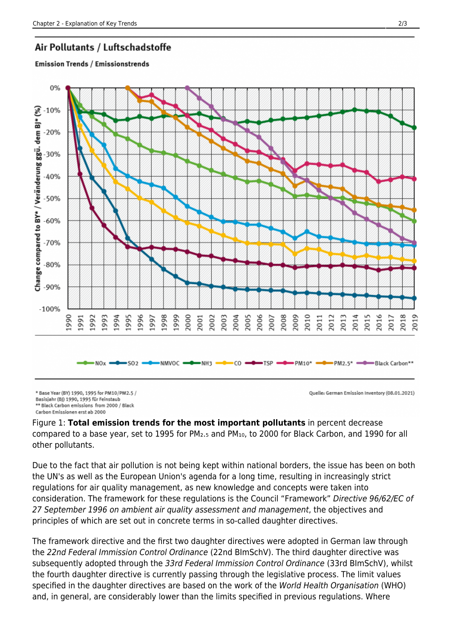#### Air Pollutants / Luftschadstoffe

#### **Emission Trends / Emissionstrends**



\* Base Year (BY) 1990, 1995 for PM10/PM2.5 / Basisjahr (BJ) 1990, 1995 für Feinstaub \*\* Black Carbon emissions from 2000 / Black

Carbon Emissionen erst ab 2000

Quelle: German Emission Inventory (08.01.2021)

Figure 1: **Total emission trends for the most important pollutants** in percent decrease compared to a base year, set to 1995 for PM₂.₅ and PM₁₀, to 2000 for Black Carbon, and 1990 for all other pollutants.

Due to the fact that air pollution is not being kept within national borders, the issue has been on both the UN's as well as the European Union's agenda for a long time, resulting in increasingly strict regulations for air quality management, as new knowledge and concepts were taken into consideration. The framework for these regulations is the Council "Framework" Directive 96/62/EC of 27 September 1996 on ambient air quality assessment and management, the objectives and principles of which are set out in concrete terms in so-called daughter directives.

The framework directive and the first two daughter directives were adopted in German law through the 22nd Federal Immission Control Ordinance (22nd BImSchV). The third daughter directive was subsequently adopted through the 33rd Federal Immission Control Ordinance (33rd BImSchV), whilst the fourth daughter directive is currently passing through the legislative process. The limit values specified in the daughter directives are based on the work of the World Health Organisation (WHO) and, in general, are considerably lower than the limits specified in previous regulations. Where